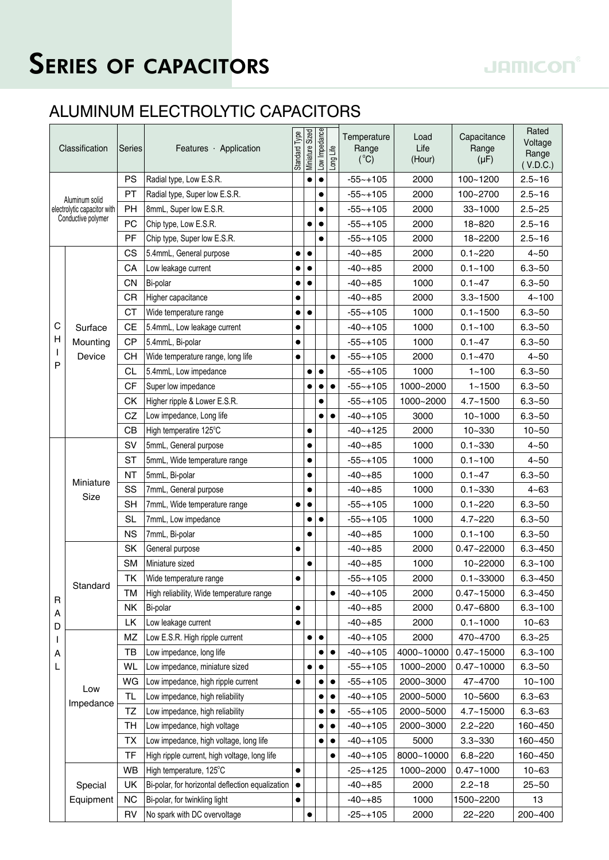## SERIES OF CAPACITORS

## ALUMINUM ELECTROLYTIC CAPACITORS

| Classification                                                      |                     | Series    | Features Application                             | Standard Type | Miniature Sized | Low Impedance | Long Life | Temperature<br>Range<br>$(^{\circ}C)$ | Load<br>Life<br>(Hour) | Capacitance<br>Range<br>$(\mu F)$ | Rated<br>Voltage<br>Range<br>(V.D.C.) |
|---------------------------------------------------------------------|---------------------|-----------|--------------------------------------------------|---------------|-----------------|---------------|-----------|---------------------------------------|------------------------|-----------------------------------|---------------------------------------|
| Aluminum solid<br>electrolytic capacitor with<br>Conductive polymer |                     | <b>PS</b> | Radial type, Low E.S.R.                          |               |                 | ٠             |           | $-55 - +105$                          | 2000                   | 100~1200                          | $2.5 - 16$                            |
|                                                                     |                     | <b>PT</b> | Radial type, Super low E.S.R.                    |               |                 | $\bullet$     |           | $-55 - +105$                          | 2000                   | 100~2700                          | $2.5 - 16$                            |
|                                                                     |                     | <b>PH</b> | 8mmL, Super low E.S.R.                           |               |                 |               |           | $-55 - +105$                          | 2000                   | $33 - 1000$                       | $2.5 - 25$                            |
|                                                                     |                     | PC        | Chip type, Low E.S.R.                            |               |                 | $\bullet$     |           | $-55 - +105$                          | 2000                   | 18~820                            | $2.5 - 16$                            |
|                                                                     |                     | PF        | Chip type, Super low E.S.R.                      |               |                 | $\bullet$     |           | $-55 - +105$                          | 2000                   | 18~2200                           | $2.5 - 16$                            |
| С<br>н                                                              | Surface<br>Mounting | CS        | 5.4mmL, General purpose                          |               | ٠               |               |           | $-40 - +85$                           | 2000                   | $0.1 - 220$                       | $4 - 50$                              |
|                                                                     |                     | CA        | Low leakage current                              |               |                 |               |           | $-40 - +85$                           | 2000                   | $0.1 - 100$                       | $6.3 - 50$                            |
|                                                                     |                     | <b>CN</b> | Bi-polar                                         |               |                 |               |           | $-40 - +85$                           | 1000                   | $0.1 - 47$                        | $6.3 - 50$                            |
|                                                                     |                     | CR        | Higher capacitance                               | ٠             |                 |               |           | $-40 - +85$                           | 2000                   | $3.3 - 1500$                      | $4 - 100$                             |
|                                                                     |                     | <b>CT</b> | Wide temperature range                           | $\bullet$     | $\bullet$       |               |           | $-55 - +105$                          | 1000                   | $0.1 - 1500$                      | $6.3 - 50$                            |
|                                                                     |                     | <b>CE</b> | 5.4mmL, Low leakage current                      |               |                 |               |           | $-40 - +105$                          | 1000                   | $0.1 - 100$                       | $6.3 - 50$                            |
|                                                                     |                     | <b>CP</b> | 5.4mmL, Bi-polar                                 | $\bullet$     |                 |               |           | $-55 - +105$                          | 1000                   | $0.1 - 47$                        | $6.3 - 50$                            |
| T                                                                   | Device              | CН        | Wide temperature range, long life                | $\bullet$     |                 |               | $\bullet$ | $-55 - +105$                          | 2000                   | $0.1 - 470$                       | $4 - 50$                              |
| P                                                                   |                     | CL        | 5.4mmL, Low impedance                            |               |                 | $\bullet$     |           | $-55 - +105$                          | 1000                   | $1 - 100$                         | $6.3 - 50$                            |
|                                                                     |                     | CF        | Super low impedance                              |               |                 | $\bullet$     | $\bullet$ | $-55 - +105$                          | 1000~2000              | $1 - 1500$                        | $6.3 - 50$                            |
|                                                                     |                     | <b>CK</b> | Higher ripple & Lower E.S.R.                     |               |                 | $\bullet$     |           | $-55 - +105$                          | 1000~2000              | $4.7 - 1500$                      | $6.3 - 50$                            |
|                                                                     |                     | CZ        | Low impedance, Long life                         |               |                 | $\bullet$     | $\bullet$ | $-40 - +105$                          | 3000                   | $10 - 1000$                       | $6.3 - 50$                            |
|                                                                     |                     | CB        | High temperatire 125°C                           |               |                 |               |           | $-40 - +125$                          | 2000                   | 10~330                            | $10 - 50$                             |
|                                                                     | Miniature<br>Size   | SV        | 5mmL, General purpose                            |               | $\bullet$       |               |           | $-40 - +85$                           | 1000                   | $0.1 - 330$                       | $4 - 50$                              |
|                                                                     |                     | ST        | 5mmL, Wide temperature range                     |               | $\bullet$       |               |           | $-55 - +105$                          | 1000                   | $0.1 - 100$                       | $4 - 50$                              |
|                                                                     |                     | <b>NT</b> | 5mmL, Bi-polar                                   |               |                 |               |           | -40~+85                               | 1000                   | $0.1 - 47$                        | $6.3 - 50$                            |
|                                                                     |                     | SS        | 7mmL, General purpose                            |               | $\bullet$       |               |           | $-40 - +85$                           | 1000                   | $0.1 - 330$                       | $4 - 63$                              |
|                                                                     |                     | SH        | 7mmL, Wide temperature range                     | $\bullet$     | $\bullet$       |               |           | $-55 - +105$                          | 1000                   | $0.1 - 220$                       | $6.3 - 50$                            |
|                                                                     |                     | <b>SL</b> | 7mmL, Low impedance                              |               |                 | $\bullet$     |           | $-55 - +105$                          | 1000                   | $4.7 - 220$                       | $6.3 - 50$                            |
|                                                                     |                     | <b>NS</b> | 7mmL, Bi-polar                                   |               |                 |               |           | $-40 - +85$                           | 1000                   | $0.1 - 100$                       | $6.3 - 50$                            |
|                                                                     | Standard            | SK        | General purpose                                  | $\bullet$     |                 |               |           | $-40 - +85$                           | 2000                   | 0.47~22000                        | $6.3 - 450$                           |
|                                                                     |                     | <b>SM</b> | Miniature sized                                  |               | $\bullet$       |               |           | $-40 - +85$                           | 1000                   | 10~22000                          | $6.3 - 100$                           |
|                                                                     |                     | <b>TK</b> | Wide temperature range                           | $\bullet$     |                 |               |           | $-55 - +105$                          | 2000                   | $0.1 - 33000$                     | $6.3 - 450$                           |
|                                                                     |                     | TM        | High reliability, Wide temperature range         |               |                 |               | $\bullet$ | $-40 - +105$                          | 2000                   | $0.47 - 15000$                    | $6.3 - 450$                           |
| R<br>A<br>D<br>I<br>A<br>L                                          |                     | NΚ        | Bi-polar                                         | ٠             |                 |               |           | $-40 - +85$                           | 2000                   | $0.47 - 6800$                     | $6.3 - 100$                           |
|                                                                     |                     | LK        | Low leakage current                              | ٠             |                 |               |           | $-40 - +85$                           | 2000                   | $0.1 - 1000$                      | $10 - 63$                             |
|                                                                     | Low<br>Impedance    | ΜZ        | Low E.S.R. High ripple current                   |               |                 | $\bullet$     |           | $-40 - +105$                          | 2000                   | 470~4700                          | $6.3 - 25$                            |
|                                                                     |                     | ТB        | Low impedance, long life                         |               |                 |               | $\bullet$ | $-40 - +105$                          | 4000~10000             | $0.47 - 15000$                    | $6.3 - 100$                           |
|                                                                     |                     | <b>WL</b> | Low impedance, miniature sized                   |               |                 | $\bullet$     |           | $-55 - +105$                          | 1000~2000              | $0.47 - 10000$                    | $6.3 - 50$                            |
|                                                                     |                     | WG        | Low impedance, high ripple current               |               |                 |               | $\bullet$ | $-55 - +105$                          | 2000~3000              | 47~4700                           | $10 - 100$                            |
|                                                                     |                     | TL        | Low impedance, high reliability                  |               |                 |               | $\bullet$ | $-40 - +105$                          | 2000~5000              | 10~5600                           | $6.3 - 63$                            |
|                                                                     |                     | TZ        | Low impedance, high reliability                  |               |                 |               | $\bullet$ | $-55 - +105$                          | 2000~5000              | 4.7~15000                         | $6.3 - 63$                            |
|                                                                     |                     | TH        | Low impedance, high voltage                      |               |                 |               | $\bullet$ | $-40 - +105$                          | 2000~3000              | $2.2 - 220$                       | 160~450                               |
|                                                                     |                     | TX        | Low impedance, high voltage, long life           |               |                 | $\bullet$     | $\bullet$ | $-40 - +105$                          | 5000                   | $3.3 - 330$                       | 160~450                               |
|                                                                     |                     | TF        | High ripple current, high voltage, long life     |               |                 |               |           | $-40 - +105$                          | 8000~10000             | $6.8 - 220$                       | 160~450                               |
|                                                                     |                     | <b>WB</b> | High temperature, 125°C                          | $\bullet$     |                 |               |           | $-25 - +125$                          | 1000~2000              | $0.47 - 1000$                     | $10 - 63$                             |
|                                                                     | Special             | UK        | Bi-polar, for horizontal deflection equalization | $\bullet$     |                 |               |           | $-40 - +85$                           | 2000                   | $2.2 - 18$                        | $25 - 50$                             |
|                                                                     | Equipment           | <b>NC</b> | Bi-polar, for twinkling light                    |               |                 |               |           | $-40 - +85$                           | 1000                   | 1500~2200                         | 13                                    |
|                                                                     |                     | RV        | No spark with DC overvoltage                     |               |                 |               |           | $-25 - +105$                          | 2000                   | 22~220                            | 200~400                               |